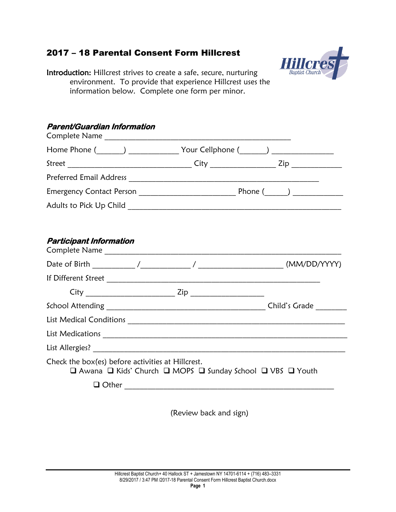# 2017 – 18 Parental Consent Form Hillcrest



Introduction: Hillcrest strives to create a safe, secure, nurturing environment. To provide that experience Hillcrest uses the information below. Complete one form per minor.

### **Parent/Guardian Information**

| Home Phone (______) ______________ Your Cellphone (______) _____________________ |                                                             |  |
|----------------------------------------------------------------------------------|-------------------------------------------------------------|--|
|                                                                                  |                                                             |  |
|                                                                                  |                                                             |  |
|                                                                                  |                                                             |  |
|                                                                                  |                                                             |  |
|                                                                                  |                                                             |  |
| <b>Participant Information</b>                                                   |                                                             |  |
|                                                                                  |                                                             |  |
|                                                                                  |                                                             |  |
|                                                                                  |                                                             |  |
|                                                                                  |                                                             |  |
|                                                                                  |                                                             |  |
|                                                                                  |                                                             |  |
|                                                                                  |                                                             |  |
| Check the box(es) before activities at Hillcrest.                                | □ Awana □ Kids' Church □ MOPS □ Sunday School □ VBS □ Youth |  |
|                                                                                  | □ Other <u>________________________________</u>             |  |

(Review back and sign)